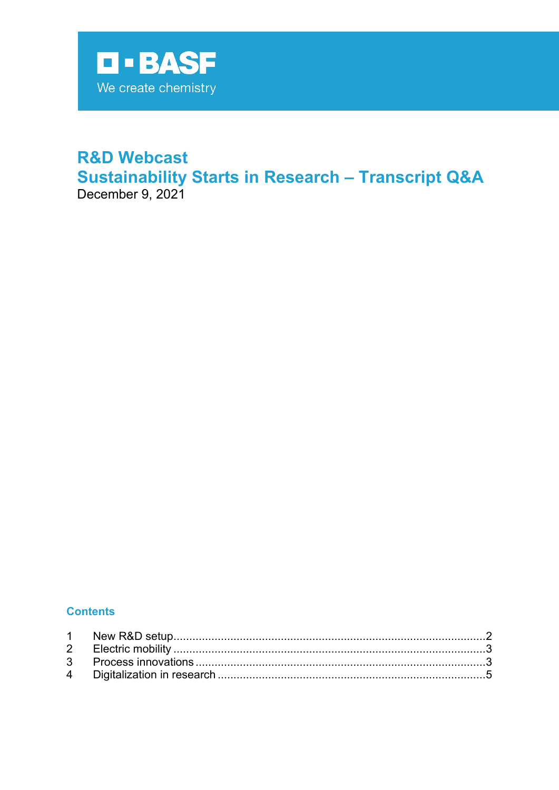

# **R&D Webcast Sustainability Starts in Research - Transcript Q&A** December 9, 2021

**Contents**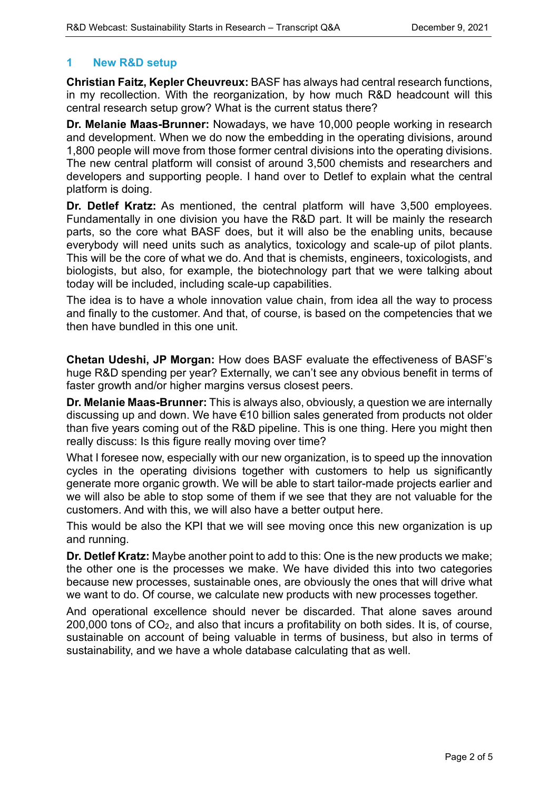#### <span id="page-1-0"></span>**1 New R&D setup**

**Christian Faitz, Kepler Cheuvreux:** BASF has always had central research functions, in my recollection. With the reorganization, by how much R&D headcount will this central research setup grow? What is the current status there?

**Dr. Melanie Maas-Brunner:** Nowadays, we have 10,000 people working in research and development. When we do now the embedding in the operating divisions, around 1,800 people will move from those former central divisions into the operating divisions. The new central platform will consist of around 3,500 chemists and researchers and developers and supporting people. I hand over to Detlef to explain what the central platform is doing.

**Dr. Detlef Kratz:** As mentioned, the central platform will have 3,500 employees. Fundamentally in one division you have the R&D part. It will be mainly the research parts, so the core what BASF does, but it will also be the enabling units, because everybody will need units such as analytics, toxicology and scale-up of pilot plants. This will be the core of what we do. And that is chemists, engineers, toxicologists, and biologists, but also, for example, the biotechnology part that we were talking about today will be included, including scale-up capabilities.

The idea is to have a whole innovation value chain, from idea all the way to process and finally to the customer. And that, of course, is based on the competencies that we then have bundled in this one unit.

**Chetan Udeshi, JP Morgan:** How does BASF evaluate the effectiveness of BASF's huge R&D spending per year? Externally, we can't see any obvious benefit in terms of faster growth and/or higher margins versus closest peers.

**Dr. Melanie Maas-Brunner:** This is always also, obviously, a question we are internally discussing up and down. We have €10 billion sales generated from products not older than five years coming out of the R&D pipeline. This is one thing. Here you might then really discuss: Is this figure really moving over time?

What I foresee now, especially with our new organization, is to speed up the innovation cycles in the operating divisions together with customers to help us significantly generate more organic growth. We will be able to start tailor-made projects earlier and we will also be able to stop some of them if we see that they are not valuable for the customers. And with this, we will also have a better output here.

This would be also the KPI that we will see moving once this new organization is up and running.

**Dr. Detlef Kratz:** Maybe another point to add to this: One is the new products we make; the other one is the processes we make. We have divided this into two categories because new processes, sustainable ones, are obviously the ones that will drive what we want to do. Of course, we calculate new products with new processes together.

<span id="page-1-1"></span>And operational excellence should never be discarded. That alone saves around 200,000 tons of CO2, and also that incurs a profitability on both sides. It is, of course, sustainable on account of being valuable in terms of business, but also in terms of sustainability, and we have a whole database calculating that as well.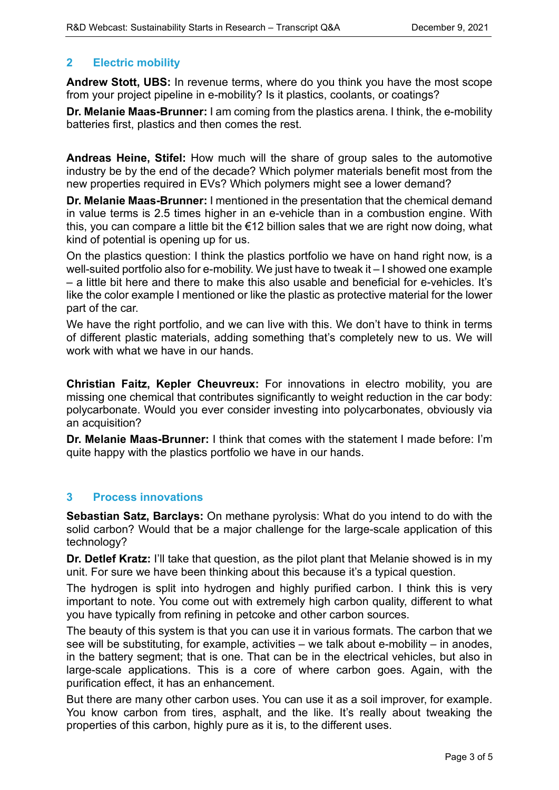## **2 Electric mobility**

**Andrew Stott, UBS:** In revenue terms, where do you think you have the most scope from your project pipeline in e-mobility? Is it plastics, coolants, or coatings?

**Dr. Melanie Maas-Brunner:** I am coming from the plastics arena. I think, the e-mobility batteries first, plastics and then comes the rest.

**Andreas Heine, Stifel:** How much will the share of group sales to the automotive industry be by the end of the decade? Which polymer materials benefit most from the new properties required in EVs? Which polymers might see a lower demand?

**Dr. Melanie Maas-Brunner:** I mentioned in the presentation that the chemical demand in value terms is 2.5 times higher in an e-vehicle than in a combustion engine. With this, you can compare a little bit the  $\epsilon$ 12 billion sales that we are right now doing, what kind of potential is opening up for us.

On the plastics question: I think the plastics portfolio we have on hand right now, is a well-suited portfolio also for e-mobility. We just have to tweak it – I showed one example – a little bit here and there to make this also usable and beneficial for e-vehicles. It's like the color example I mentioned or like the plastic as protective material for the lower part of the car.

We have the right portfolio, and we can live with this. We don't have to think in terms of different plastic materials, adding something that's completely new to us. We will work with what we have in our hands.

**Christian Faitz, Kepler Cheuvreux:** For innovations in electro mobility, you are missing one chemical that contributes significantly to weight reduction in the car body: polycarbonate. Would you ever consider investing into polycarbonates, obviously via an acquisition?

**Dr. Melanie Maas-Brunner:** I think that comes with the statement I made before: I'm quite happy with the plastics portfolio we have in our hands.

#### <span id="page-2-0"></span>**3 Process innovations**

**Sebastian Satz, Barclays:** On methane pyrolysis: What do you intend to do with the solid carbon? Would that be a major challenge for the large-scale application of this technology?

**Dr. Detlef Kratz:** I'll take that question, as the pilot plant that Melanie showed is in my unit. For sure we have been thinking about this because it's a typical question.

The hydrogen is split into hydrogen and highly purified carbon. I think this is very important to note. You come out with extremely high carbon quality, different to what you have typically from refining in petcoke and other carbon sources.

The beauty of this system is that you can use it in various formats. The carbon that we see will be substituting, for example, activities – we talk about e-mobility – in anodes, in the battery segment; that is one. That can be in the electrical vehicles, but also in large-scale applications. This is a core of where carbon goes. Again, with the purification effect, it has an enhancement.

But there are many other carbon uses. You can use it as a soil improver, for example. You know carbon from tires, asphalt, and the like. It's really about tweaking the properties of this carbon, highly pure as it is, to the different uses.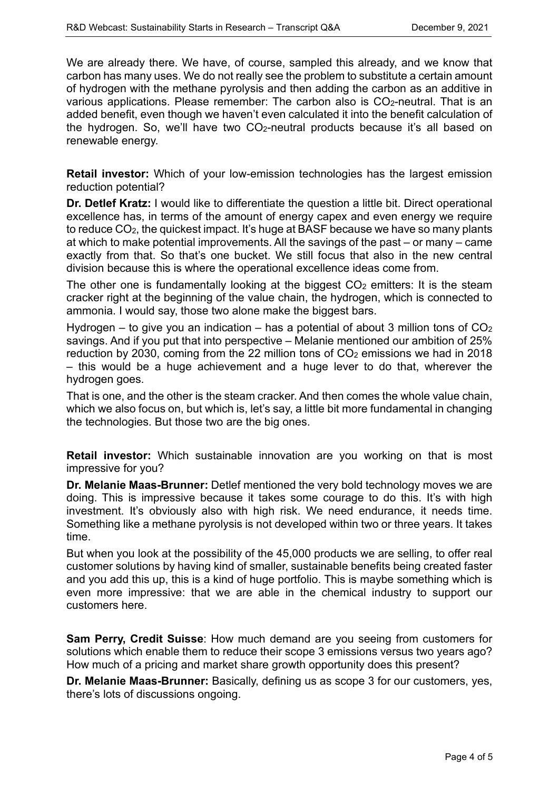We are already there. We have, of course, sampled this already, and we know that carbon has many uses. We do not really see the problem to substitute a certain amount of hydrogen with the methane pyrolysis and then adding the carbon as an additive in various applications. Please remember: The carbon also is CO<sub>2</sub>-neutral. That is an added benefit, even though we haven't even calculated it into the benefit calculation of the hydrogen. So, we'll have two CO2-neutral products because it's all based on renewable energy.

**Retail investor:** Which of your low-emission technologies has the largest emission reduction potential?

**Dr. Detlef Kratz:** I would like to differentiate the question a little bit. Direct operational excellence has, in terms of the amount of energy capex and even energy we require to reduce CO2, the quickest impact. It's huge at BASF because we have so many plants at which to make potential improvements. All the savings of the past – or many – came exactly from that. So that's one bucket. We still focus that also in the new central division because this is where the operational excellence ideas come from.

The other one is fundamentally looking at the biggest  $CO<sub>2</sub>$  emitters: It is the steam cracker right at the beginning of the value chain, the hydrogen, which is connected to ammonia. I would say, those two alone make the biggest bars.

Hydrogen – to give you an indication – has a potential of about 3 million tons of  $CO<sub>2</sub>$ savings. And if you put that into perspective – Melanie mentioned our ambition of 25% reduction by 2030, coming from the 22 million tons of  $CO<sub>2</sub>$  emissions we had in 2018 – this would be a huge achievement and a huge lever to do that, wherever the hydrogen goes.

That is one, and the other is the steam cracker. And then comes the whole value chain, which we also focus on, but which is, let's say, a little bit more fundamental in changing the technologies. But those two are the big ones.

**Retail investor:** Which sustainable innovation are you working on that is most impressive for you?

**Dr. Melanie Maas-Brunner:** Detlef mentioned the very bold technology moves we are doing. This is impressive because it takes some courage to do this. It's with high investment. It's obviously also with high risk. We need endurance, it needs time. Something like a methane pyrolysis is not developed within two or three years. It takes time.

But when you look at the possibility of the 45,000 products we are selling, to offer real customer solutions by having kind of smaller, sustainable benefits being created faster and you add this up, this is a kind of huge portfolio. This is maybe something which is even more impressive: that we are able in the chemical industry to support our customers here.

**Sam Perry, Credit Suisse**: How much demand are you seeing from customers for solutions which enable them to reduce their scope 3 emissions versus two years ago? How much of a pricing and market share growth opportunity does this present?

**Dr. Melanie Maas-Brunner:** Basically, defining us as scope 3 for our customers, yes, there's lots of discussions ongoing.